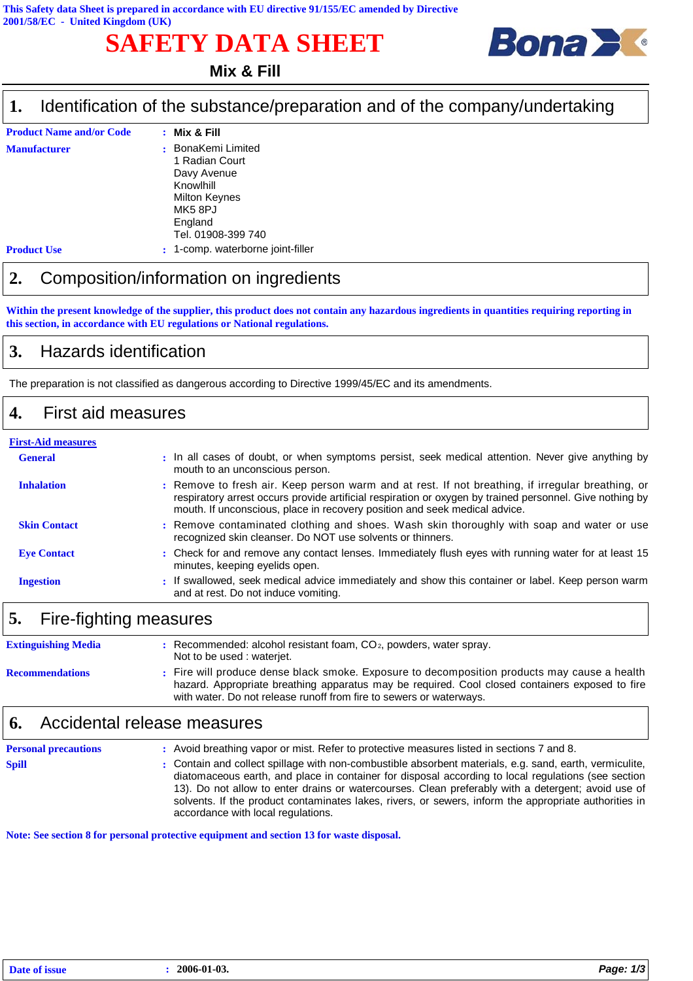# **SAFETY DATA SHEET**



#### **Mix & Fill**

#### Identification of the substance/preparation and of the company/undertaking **1.**

| <b>Product Name and/or Code</b> | $:$ Mix & Fill                                                                                                             |
|---------------------------------|----------------------------------------------------------------------------------------------------------------------------|
| <b>Manufacturer</b>             | BonaKemi Limited<br>1 Radian Court<br>Davy Avenue<br>Knowlhill<br>Milton Keynes<br>MK58PJ<br>England<br>Tel. 01908-399 740 |
| <b>Product Use</b>              | 1-comp. waterborne joint-filler<br>÷.                                                                                      |

#### **2.** Composition/information on ingredients

**Within the present knowledge of the supplier, this product does not contain any hazardous ingredients in quantities requiring reporting in this section, in accordance with EU regulations or National regulations.**

#### **3.** Hazards identification

The preparation is not classified as dangerous according to Directive 1999/45/EC and its amendments.

#### **4.** First aid measures

| <b>First-Aid measures</b> |                                                                                                                                                                                                                                                                                             |  |  |  |
|---------------------------|---------------------------------------------------------------------------------------------------------------------------------------------------------------------------------------------------------------------------------------------------------------------------------------------|--|--|--|
| <b>General</b>            | : In all cases of doubt, or when symptoms persist, seek medical attention. Never give anything by<br>mouth to an unconscious person.                                                                                                                                                        |  |  |  |
| <b>Inhalation</b>         | : Remove to fresh air. Keep person warm and at rest. If not breathing, if irregular breathing, or<br>respiratory arrest occurs provide artificial respiration or oxygen by trained personnel. Give nothing by<br>mouth. If unconscious, place in recovery position and seek medical advice. |  |  |  |
| <b>Skin Contact</b>       | : Remove contaminated clothing and shoes. Wash skin thoroughly with soap and water or use<br>recognized skin cleanser. Do NOT use solvents or thinners.                                                                                                                                     |  |  |  |
| <b>Eve Contact</b>        | : Check for and remove any contact lenses. Immediately flush eyes with running water for at least 15<br>minutes, keeping eyelids open.                                                                                                                                                      |  |  |  |
| <b>Ingestion</b>          | : If swallowed, seek medical advice immediately and show this container or label. Keep person warm<br>and at rest. Do not induce vomiting.                                                                                                                                                  |  |  |  |
|                           |                                                                                                                                                                                                                                                                                             |  |  |  |

## **5.** Fire-fighting measures

| <b>Extinguishing Media</b> | $\therefore$ Recommended: alcohol resistant foam, CO <sub>2</sub> , powders, water spray.<br>Not to be used: waterjet.                                                                                                                                                 |
|----------------------------|------------------------------------------------------------------------------------------------------------------------------------------------------------------------------------------------------------------------------------------------------------------------|
| <b>Recommendations</b>     | : Fire will produce dense black smoke. Exposure to decomposition products may cause a health<br>hazard. Appropriate breathing apparatus may be required. Cool closed containers exposed to fire<br>with water. Do not release runoff from fire to sewers or waterways. |

### **6.** Accidental release measures

| <b>Personal precautions</b> | : Avoid breathing vapor or mist. Refer to protective measures listed in sections 7 and 8.                                                                                                                                                                                                                                                                                                                                                                           |
|-----------------------------|---------------------------------------------------------------------------------------------------------------------------------------------------------------------------------------------------------------------------------------------------------------------------------------------------------------------------------------------------------------------------------------------------------------------------------------------------------------------|
| <b>Spill</b>                | : Contain and collect spillage with non-combustible absorbent materials, e.g. sand, earth, vermiculite,<br>diatomaceous earth, and place in container for disposal according to local regulations (see section<br>13). Do not allow to enter drains or watercourses. Clean preferably with a detergent; avoid use of<br>solvents. If the product contaminates lakes, rivers, or sewers, inform the appropriate authorities in<br>accordance with local regulations. |

**Note: See section 8 for personal protective equipment and section 13 for waste disposal.**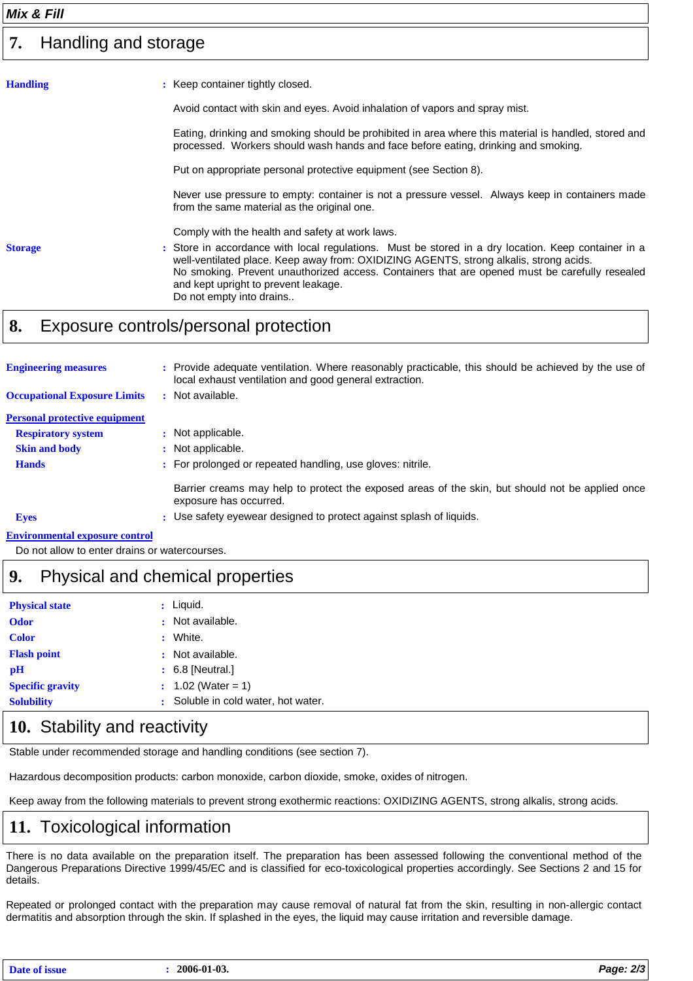#### Handling and storage **7.**

| <b>Handling</b> | : Keep container tightly closed.                                                                                                                                                                                                                                                                                                                                    |
|-----------------|---------------------------------------------------------------------------------------------------------------------------------------------------------------------------------------------------------------------------------------------------------------------------------------------------------------------------------------------------------------------|
|                 | Avoid contact with skin and eyes. Avoid inhalation of vapors and spray mist.                                                                                                                                                                                                                                                                                        |
|                 | Eating, drinking and smoking should be prohibited in area where this material is handled, stored and<br>processed. Workers should wash hands and face before eating, drinking and smoking.                                                                                                                                                                          |
|                 | Put on appropriate personal protective equipment (see Section 8).                                                                                                                                                                                                                                                                                                   |
|                 | Never use pressure to empty: container is not a pressure vessel. Always keep in containers made<br>from the same material as the original one.                                                                                                                                                                                                                      |
|                 | Comply with the health and safety at work laws.                                                                                                                                                                                                                                                                                                                     |
| <b>Storage</b>  | : Store in accordance with local regulations. Must be stored in a dry location. Keep container in a<br>well-ventilated place. Keep away from: OXIDIZING AGENTS, strong alkalis, strong acids.<br>No smoking. Prevent unauthorized access. Containers that are opened must be carefully resealed<br>and kept upright to prevent leakage.<br>Do not empty into drains |
|                 |                                                                                                                                                                                                                                                                                                                                                                     |

#### **8.** Exposure controls/personal protection

| <b>Engineering measures</b>           |   | Provide adequate ventilation. Where reasonably practicable, this should be achieved by the use of<br>local exhaust ventilation and good general extraction. |
|---------------------------------------|---|-------------------------------------------------------------------------------------------------------------------------------------------------------------|
| <b>Occupational Exposure Limits</b>   | ÷ | Not available.                                                                                                                                              |
| <b>Personal protective equipment</b>  |   |                                                                                                                                                             |
| <b>Respiratory system</b>             |   | : Not applicable.                                                                                                                                           |
| <b>Skin and body</b>                  |   | : Not applicable.                                                                                                                                           |
| <b>Hands</b>                          |   | : For prolonged or repeated handling, use gloves: nitrile.                                                                                                  |
|                                       |   | Barrier creams may help to protect the exposed areas of the skin, but should not be applied once<br>exposure has occurred.                                  |
| <b>Eyes</b>                           |   | : Use safety eyewear designed to protect against splash of liquids.                                                                                         |
| <b>Environmental exposure control</b> |   |                                                                                                                                                             |

Do not allow to enter drains or watercourses.

## **9.** Physical and chemical properties

| <b>Physical state</b>   |   | $:$ Liquid.                         |
|-------------------------|---|-------------------------------------|
| <b>Odor</b>             |   | : Not available.                    |
| <b>Color</b>            | ÷ | White.                              |
| <b>Flash point</b>      |   | : Not available.                    |
| рH                      |   | $\div$ 6.8 [Neutral.]               |
| <b>Specific gravity</b> |   | $: 1.02$ (Water = 1)                |
| <b>Solubility</b>       |   | : Soluble in cold water, hot water. |
|                         |   |                                     |

### 10. Stability and reactivity

Stable under recommended storage and handling conditions (see section 7).

Hazardous decomposition products: carbon monoxide, carbon dioxide, smoke, oxides of nitrogen.

Keep away from the following materials to prevent strong exothermic reactions: OXIDIZING AGENTS, strong alkalis, strong acids.

### **11.** Toxicological information

There is no data available on the preparation itself. The preparation has been assessed following the conventional method of the Dangerous Preparations Directive 1999/45/EC and is classified for eco-toxicological properties accordingly. See Sections 2 and 15 for details.

Repeated or prolonged contact with the preparation may cause removal of natural fat from the skin, resulting in non-allergic contact dermatitis and absorption through the skin. If splashed in the eyes, the liquid may cause irritation and reversible damage.